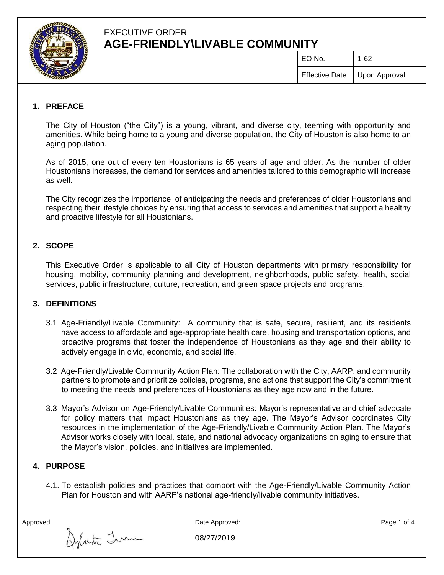

# EXECUTIVE ORDER **AGE-FRIENDLY\LIVABLE COMMUNITY**

 $EO$  No.  $1-62$ 

### **1. PREFACE**

The City of Houston ("the City") is a young, vibrant, and diverse city, teeming with opportunity and amenities. While being home to a young and diverse population, the City of Houston is also home to an aging population.

As of 2015, one out of every ten Houstonians is 65 years of age and older. As the number of older Houstonians increases, the demand for services and amenities tailored to this demographic will increase as well.

The City recognizes the importance of anticipating the needs and preferences of older Houstonians and respecting their lifestyle choices by ensuring that access to services and amenities that support a healthy and proactive lifestyle for all Houstonians.

#### **2. SCOPE**

This Executive Order is applicable to all City of Houston departments with primary responsibility for housing, mobility, community planning and development, neighborhoods, public safety, health, social services, public infrastructure, culture, recreation, and green space projects and programs.

#### **3. DEFINITIONS**

- 3.1 Age-Friendly/Livable Community: A community that is safe, secure, resilient, and its residents have access to affordable and age-appropriate health care, housing and transportation options, and proactive programs that foster the independence of Houstonians as they age and their ability to actively engage in civic, economic, and social life.
- 3.2 Age-Friendly/Livable Community Action Plan: The collaboration with the City, AARP, and community partners to promote and prioritize policies, programs, and actions that support the City's commitment to meeting the needs and preferences of Houstonians as they age now and in the future.
- 3.3 Mayor's Advisor on Age-Friendly/Livable Communities: Mayor's representative and chief advocate for policy matters that impact Houstonians as they age. The Mayor's Advisor coordinates City resources in the implementation of the Age-Friendly/Livable Community Action Plan. The Mayor's Advisor works closely with local, state, and national advocacy organizations on aging to ensure that the Mayor's vision, policies, and initiatives are implemented.

#### **4. PURPOSE**

4.1. To establish policies and practices that comport with the Age-Friendly/Livable Community Action Plan for Houston and with AARP's national age-friendly/livable community initiatives.

| Approved:   | Date Approved: | Page 1 of 4 |
|-------------|----------------|-------------|
| Imm<br>gymm | 08/27/2019     |             |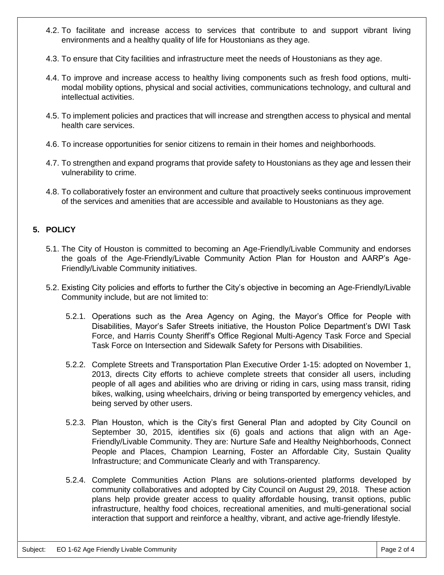- 4.2. To facilitate and increase access to services that contribute to and support vibrant living environments and a healthy quality of life for Houstonians as they age.
- 4.3. To ensure that City facilities and infrastructure meet the needs of Houstonians as they age.
- 4.4. To improve and increase access to healthy living components such as fresh food options, multimodal mobility options, physical and social activities, communications technology, and cultural and intellectual activities.
- 4.5. To implement policies and practices that will increase and strengthen access to physical and mental health care services.
- 4.6. To increase opportunities for senior citizens to remain in their homes and neighborhoods.
- 4.7. To strengthen and expand programs that provide safety to Houstonians as they age and lessen their vulnerability to crime.
- 4.8. To collaboratively foster an environment and culture that proactively seeks continuous improvement of the services and amenities that are accessible and available to Houstonians as they age.

## **5. POLICY**

- 5.1. The City of Houston is committed to becoming an Age-Friendly/Livable Community and endorses the goals of the Age-Friendly/Livable Community Action Plan for Houston and AARP's Age-Friendly/Livable Community initiatives.
- 5.2. Existing City policies and efforts to further the City's objective in becoming an Age-Friendly/Livable Community include, but are not limited to:
	- 5.2.1. Operations such as the Area Agency on Aging, the Mayor's Office for People with Disabilities, Mayor's Safer Streets initiative, the Houston Police Department's DWI Task Force, and Harris County Sheriff's Office Regional Multi-Agency Task Force and Special Task Force on Intersection and Sidewalk Safety for Persons with Disabilities.
	- 5.2.2. Complete Streets and Transportation Plan Executive Order 1-15: adopted on November 1, 2013, directs City efforts to achieve complete streets that consider all users, including people of all ages and abilities who are driving or riding in cars, using mass transit, riding bikes, walking, using wheelchairs, driving or being transported by emergency vehicles, and being served by other users.
	- 5.2.3. Plan Houston, which is the City's first General Plan and adopted by City Council on September 30, 2015, identifies six (6) goals and actions that align with an Age-Friendly/Livable Community. They are: Nurture Safe and Healthy Neighborhoods, Connect People and Places, Champion Learning, Foster an Affordable City, Sustain Quality Infrastructure; and Communicate Clearly and with Transparency.
	- 5.2.4. Complete Communities Action Plans are solutions-oriented platforms developed by community collaboratives and adopted by City Council on August 29, 2018. These action plans help provide greater access to quality affordable housing, transit options, public infrastructure, healthy food choices, recreational amenities, and multi-generational social interaction that support and reinforce a healthy, vibrant, and active age-friendly lifestyle.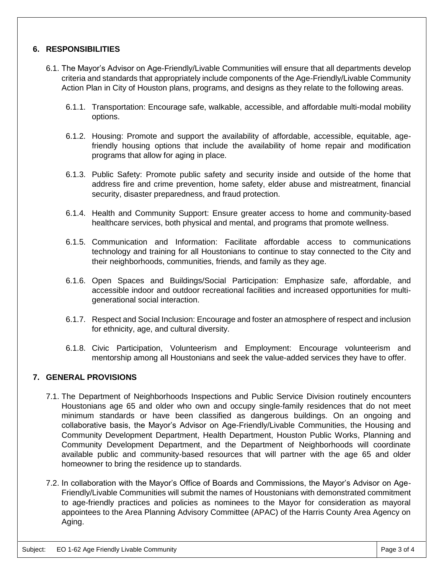#### **6. RESPONSIBILITIES**

- 6.1. The Mayor's Advisor on Age-Friendly/Livable Communities will ensure that all departments develop criteria and standards that appropriately include components of the Age-Friendly/Livable Community Action Plan in City of Houston plans, programs, and designs as they relate to the following areas.
	- 6.1.1. Transportation: Encourage safe, walkable, accessible, and affordable multi-modal mobility options.
	- 6.1.2. Housing: Promote and support the availability of affordable, accessible, equitable, agefriendly housing options that include the availability of home repair and modification programs that allow for aging in place.
	- 6.1.3. Public Safety: Promote public safety and security inside and outside of the home that address fire and crime prevention, home safety, elder abuse and mistreatment, financial security, disaster preparedness, and fraud protection.
	- 6.1.4. Health and Community Support: Ensure greater access to home and community-based healthcare services, both physical and mental, and programs that promote wellness.
	- 6.1.5. Communication and Information: Facilitate affordable access to communications technology and training for all Houstonians to continue to stay connected to the City and their neighborhoods, communities, friends, and family as they age.
	- 6.1.6. Open Spaces and Buildings/Social Participation: Emphasize safe, affordable, and accessible indoor and outdoor recreational facilities and increased opportunities for multigenerational social interaction.
	- 6.1.7. Respect and Social Inclusion: Encourage and foster an atmosphere of respect and inclusion for ethnicity, age, and cultural diversity.
	- 6.1.8. Civic Participation, Volunteerism and Employment: Encourage volunteerism and mentorship among all Houstonians and seek the value-added services they have to offer.

#### **7. GENERAL PROVISIONS**

- 7.1. The Department of Neighborhoods Inspections and Public Service Division routinely encounters Houstonians age 65 and older who own and occupy single-family residences that do not meet minimum standards or have been classified as dangerous buildings. On an ongoing and collaborative basis, the Mayor's Advisor on Age-Friendly/Livable Communities, the Housing and Community Development Department, Health Department, Houston Public Works, Planning and Community Development Department, and the Department of Neighborhoods will coordinate available public and community-based resources that will partner with the age 65 and older homeowner to bring the residence up to standards.
- 7.2. In collaboration with the Mayor's Office of Boards and Commissions, the Mayor's Advisor on Age-Friendly/Livable Communities will submit the names of Houstonians with demonstrated commitment to age-friendly practices and policies as nominees to the Mayor for consideration as mayoral appointees to the Area Planning Advisory Committee (APAC) of the Harris County Area Agency on Aging.